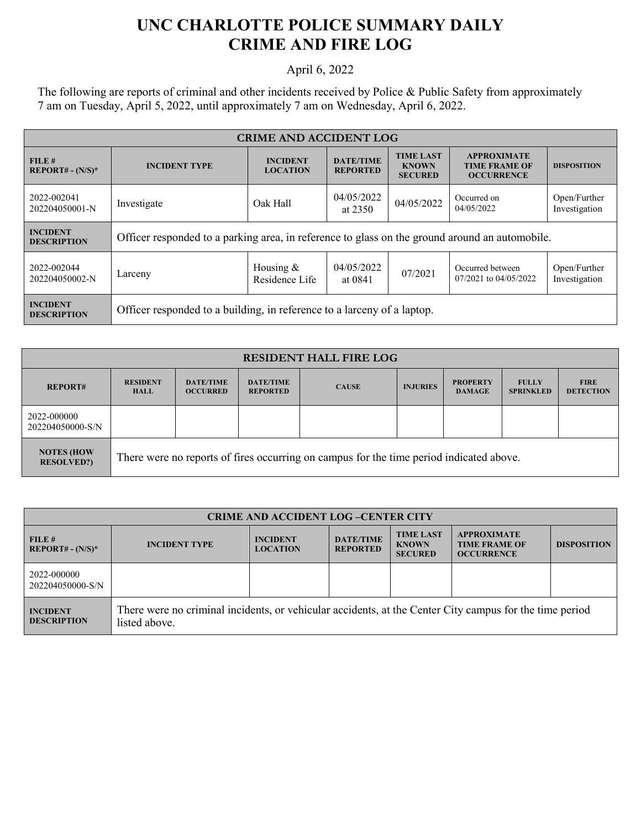## **UNC CHARLOTTE POLICE SUMMARY DAILY CRIME AND FIRE LOG**

## April 6, 2022

The following are reports of criminal and other incidents received by Police & Public Safety from approximately 7 am on Tuesday, April 5, 2022, until approximately 7 am on Wednesday, April 6, 2022.

| <b>CRIME AND ACCIDENT LOG</b>         |                                                                                                |                                    |                                     |                                                    |                                                                 |                               |  |
|---------------------------------------|------------------------------------------------------------------------------------------------|------------------------------------|-------------------------------------|----------------------------------------------------|-----------------------------------------------------------------|-------------------------------|--|
| FILE#<br>$REPORT# - (N/S)*$           | <b>INCIDENT TYPE</b>                                                                           | <b>INCIDENT</b><br><b>LOCATION</b> | <b>DATE/TIME</b><br><b>REPORTED</b> | <b>TIME LAST</b><br><b>KNOWN</b><br><b>SECURED</b> | <b>APPROXIMATE</b><br><b>TIME FRAME OF</b><br><b>OCCURRENCE</b> | <b>DISPOSITION</b>            |  |
| 2022-002041<br>202204050001-N         | Investigate                                                                                    | Oak Hall                           | 04/05/2022<br>at $2350$             | 04/05/2022                                         | Occurred on<br>04/05/2022                                       | Open/Further<br>Investigation |  |
| <b>INCIDENT</b><br><b>DESCRIPTION</b> | Officer responded to a parking area, in reference to glass on the ground around an automobile. |                                    |                                     |                                                    |                                                                 |                               |  |
| 2022-002044<br>202204050002-N         | Larceny                                                                                        | Housing $&$<br>Residence Life      | 04/05/2022<br>at 0841               | 07/2021                                            | Occurred between<br>07/2021 to 04/05/2022                       | Open/Further<br>Investigation |  |
| <b>INCIDENT</b><br><b>DESCRIPTION</b> | Officer responded to a building, in reference to a larceny of a laptop.                        |                                    |                                     |                                                    |                                                                 |                               |  |

| <b>RESIDENT HALL FIRE LOG</b>          |                                                                                         |                                     |                                     |              |                 |                                  |                                  |                                 |
|----------------------------------------|-----------------------------------------------------------------------------------------|-------------------------------------|-------------------------------------|--------------|-----------------|----------------------------------|----------------------------------|---------------------------------|
| <b>REPORT#</b>                         | <b>RESIDENT</b><br><b>HALL</b>                                                          | <b>DATE/TIME</b><br><b>OCCURRED</b> | <b>DATE/TIME</b><br><b>REPORTED</b> | <b>CAUSE</b> | <b>INJURIES</b> | <b>PROPERTY</b><br><b>DAMAGE</b> | <b>FULLY</b><br><b>SPRINKLED</b> | <b>FIRE</b><br><b>DETECTION</b> |
| 2022-000000<br>202204050000-S/N        |                                                                                         |                                     |                                     |              |                 |                                  |                                  |                                 |
| <b>NOTES (HOW</b><br><b>RESOLVED?)</b> | There were no reports of fires occurring on campus for the time period indicated above. |                                     |                                     |              |                 |                                  |                                  |                                 |

| <b>CRIME AND ACCIDENT LOG-CENTER CITY</b> |                                                                                                                          |                                    |                                     |                                                    |                                                                 |                    |  |
|-------------------------------------------|--------------------------------------------------------------------------------------------------------------------------|------------------------------------|-------------------------------------|----------------------------------------------------|-----------------------------------------------------------------|--------------------|--|
| FILE#<br>$REPORT# - (N/S)*$               | <b>INCIDENT TYPE</b>                                                                                                     | <b>INCIDENT</b><br><b>LOCATION</b> | <b>DATE/TIME</b><br><b>REPORTED</b> | <b>TIME LAST</b><br><b>KNOWN</b><br><b>SECURED</b> | <b>APPROXIMATE</b><br><b>TIME FRAME OF</b><br><b>OCCURRENCE</b> | <b>DISPOSITION</b> |  |
| 2022-000000<br>202204050000-S/N           |                                                                                                                          |                                    |                                     |                                                    |                                                                 |                    |  |
| <b>INCIDENT</b><br><b>DESCRIPTION</b>     | There were no criminal incidents, or vehicular accidents, at the Center City campus for the time period<br>listed above. |                                    |                                     |                                                    |                                                                 |                    |  |